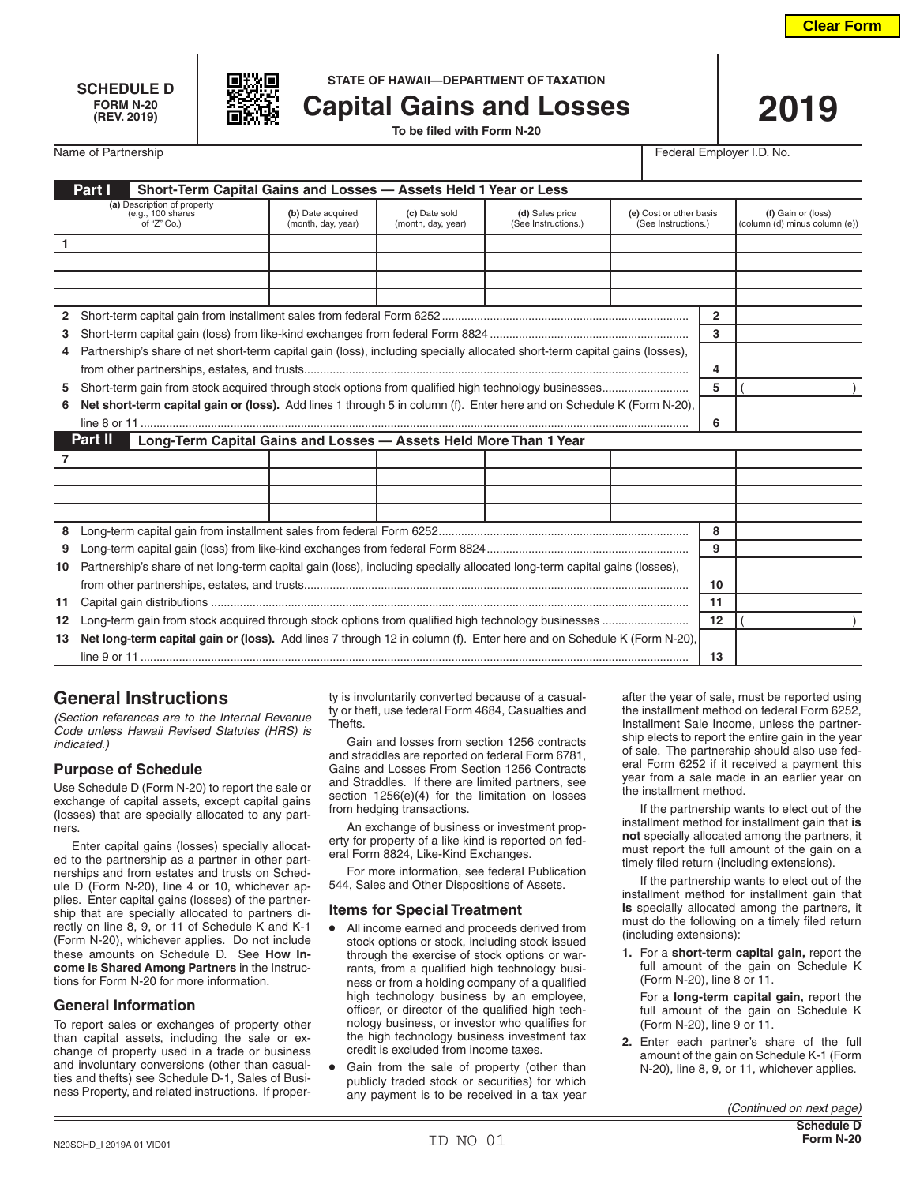





**SCHEDULE D STATE OF HAWAII—DEPARTMENT OF TAXATION**

**Capital Gains and Losses** 

Name of Partnership **Federal Employer I.D.** No.

| Part I<br>Short-Term Capital Gains and Losses - Assets Held 1 Year or Less   |                                                                                                                             |                                         |                                     |                                        |                                                |         |                                                     |
|------------------------------------------------------------------------------|-----------------------------------------------------------------------------------------------------------------------------|-----------------------------------------|-------------------------------------|----------------------------------------|------------------------------------------------|---------|-----------------------------------------------------|
|                                                                              | (a) Description of property<br>(e.g., 100 shares<br>of "Z" Co.)                                                             | (b) Date acquired<br>(month, day, year) | (c) Date sold<br>(month, day, year) | (d) Sales price<br>(See Instructions.) | (e) Cost or other basis<br>(See Instructions.) |         | (f) Gain or (loss)<br>(column (d) minus column (e)) |
| $\mathbf{1}$                                                                 |                                                                                                                             |                                         |                                     |                                        |                                                |         |                                                     |
|                                                                              |                                                                                                                             |                                         |                                     |                                        |                                                |         |                                                     |
|                                                                              |                                                                                                                             |                                         |                                     |                                        |                                                |         |                                                     |
|                                                                              |                                                                                                                             |                                         |                                     |                                        |                                                |         |                                                     |
|                                                                              |                                                                                                                             |                                         |                                     |                                        |                                                |         |                                                     |
| 3                                                                            |                                                                                                                             |                                         |                                     |                                        |                                                | 3       |                                                     |
| 4                                                                            | Partnership's share of net short-term capital gain (loss), including specially allocated short-term capital gains (losses), |                                         |                                     |                                        |                                                |         |                                                     |
|                                                                              |                                                                                                                             |                                         |                                     |                                        |                                                | 4       |                                                     |
| 5                                                                            |                                                                                                                             |                                         |                                     |                                        |                                                | 5       |                                                     |
| 6                                                                            | Net short-term capital gain or (loss). Add lines 1 through 5 in column (f). Enter here and on Schedule K (Form N-20),       |                                         |                                     |                                        |                                                |         |                                                     |
|                                                                              |                                                                                                                             |                                         |                                     |                                        |                                                |         |                                                     |
| Part II<br>Long-Term Capital Gains and Losses - Assets Held More Than 1 Year |                                                                                                                             |                                         |                                     |                                        |                                                |         |                                                     |
|                                                                              |                                                                                                                             |                                         |                                     |                                        |                                                |         |                                                     |
|                                                                              |                                                                                                                             |                                         |                                     |                                        |                                                |         |                                                     |
|                                                                              |                                                                                                                             |                                         |                                     |                                        |                                                |         |                                                     |
|                                                                              |                                                                                                                             |                                         |                                     |                                        |                                                |         |                                                     |
| 8                                                                            |                                                                                                                             |                                         |                                     |                                        |                                                | 8       |                                                     |
| 9                                                                            |                                                                                                                             |                                         |                                     |                                        |                                                | 9       |                                                     |
| 10                                                                           | Partnership's share of net long-term capital gain (loss), including specially allocated long-term capital gains (losses),   |                                         |                                     |                                        |                                                |         |                                                     |
|                                                                              |                                                                                                                             |                                         |                                     |                                        |                                                | 10      |                                                     |
| 11                                                                           |                                                                                                                             |                                         |                                     |                                        |                                                |         |                                                     |
| 12                                                                           | Long-term gain from stock acquired through stock options from qualified high technology businesses                          |                                         |                                     |                                        |                                                | $12 \,$ |                                                     |
| 13                                                                           | Net long-term capital gain or (loss). Add lines 7 through 12 in column (f). Enter here and on Schedule K (Form N-20),       |                                         |                                     |                                        |                                                |         |                                                     |
|                                                                              |                                                                                                                             |                                         |                                     |                                        |                                                | 13      |                                                     |

# **General Instructions**

*(Section references are to the Internal Revenue Code unless Hawaii Revised Statutes (HRS) is indicated.)*

# **Purpose of Schedule**

Use Schedule D (Form N-20) to report the sale or exchange of capital assets, except capital gains (losses) that are specially allocated to any partners.

Enter capital gains (losses) specially allocated to the partnership as a partner in other partnerships and from estates and trusts on Schedule D (Form N-20), line 4 or 10, whichever applies. Enter capital gains (losses) of the partnership that are specially allocated to partners directly on line 8, 9, or 11 of Schedule K and K-1 (Form N-20), whichever applies. Do not include these amounts on Schedule D. See **How Income Is Shared Among Partners** in the Instructions for Form N-20 for more information.

### **General Information**

To report sales or exchanges of property other than capital assets, including the sale or exchange of property used in a trade or business and involuntary conversions (other than casualties and thefts) see Schedule D-1, Sales of Business Property, and related instructions. If property is involuntarily converted because of a casualty or theft, use federal Form 4684, Casualties and Thefts.

Gain and losses from section 1256 contracts and straddles are reported on federal Form 6781, Gains and Losses From Section 1256 Contracts and Straddles. If there are limited partners, see section 1256(e)(4) for the limitation on losses from hedging transactions.

An exchange of business or investment property for property of a like kind is reported on federal Form 8824, Like-Kind Exchanges.

For more information, see federal Publication 544, Sales and Other Dispositions of Assets.

### **Items for Special Treatment**

- All income earned and proceeds derived from stock options or stock, including stock issued through the exercise of stock options or warrants, from a qualified high technology business or from a holding company of a qualified high technology business by an employee, officer, or director of the qualified high technology business, or investor who qualifies for the high technology business investment tax credit is excluded from income taxes.
- Gain from the sale of property (other than publicly traded stock or securities) for which any payment is to be received in a tax year

after the year of sale, must be reported using the installment method on federal Form 6252, Installment Sale Income, unless the partnership elects to report the entire gain in the year of sale. The partnership should also use federal Form 6252 if it received a payment this year from a sale made in an earlier year on the installment method.

If the partnership wants to elect out of the installment method for installment gain that **is not** specially allocated among the partners, it must report the full amount of the gain on a timely filed return (including extensions).

If the partnership wants to elect out of the installment method for installment gain that **is** specially allocated among the partners, it must do the following on a timely filed return (including extensions):

**1.** For a **short-term capital gain,** report the full amount of the gain on Schedule K (Form N-20), line 8 or 11.

For a **long-term capital gain,** report the full amount of the gain on Schedule K (Form N-20), line 9 or 11.

**2.** Enter each partner's share of the full amount of the gain on Schedule K-1 (Form N-20), line 8, 9, or 11, whichever applies.

*(Continued on next page)*